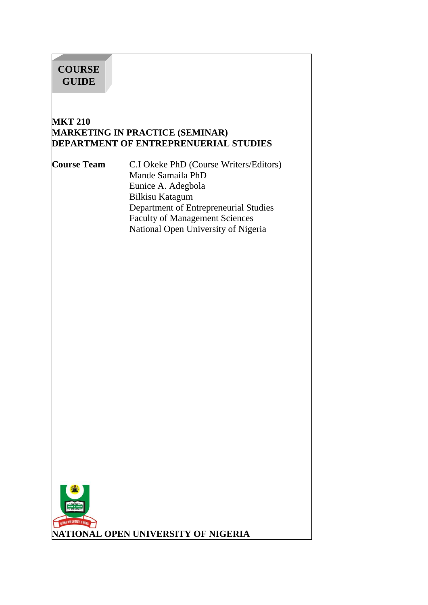# **COURSE GUIDE**

#### **MKT 210 MARKETING IN PRACTICE (SEMINAR) DEPARTMENT OF ENTREPRENUERIAL STUDIES**

**Course Team** C.I Okeke PhD (Course Writers/Editors) Mande Samaila PhD Eunice A. Adegbola Bilkisu Katagum Department of Entrepreneurial Studies Faculty of Management Sciences National Open University of Nigeria

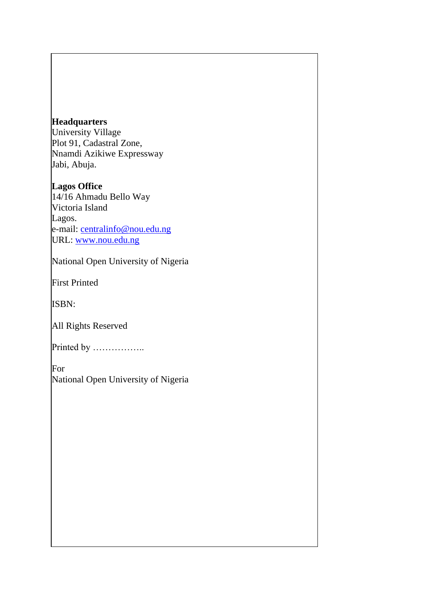#### **Headquarters**

University Village Plot 91, Cadastral Zone, Nnamdi Azikiwe Expressway Jabi, Abuja.

### **Lagos Office**

14/16 Ahmadu Bello Way Victoria Island Lagos. e-mail: [centralinfo@nou.edu.ng](mailto:centralinfo@nou.edu.ng) URL: [www.nou.edu.ng](http://www.nou.edu.ng/)

National Open University of Nigeria

First Printed

ISBN:

All Rights Reserved

Printed by ……………..

For National Open University of Nigeria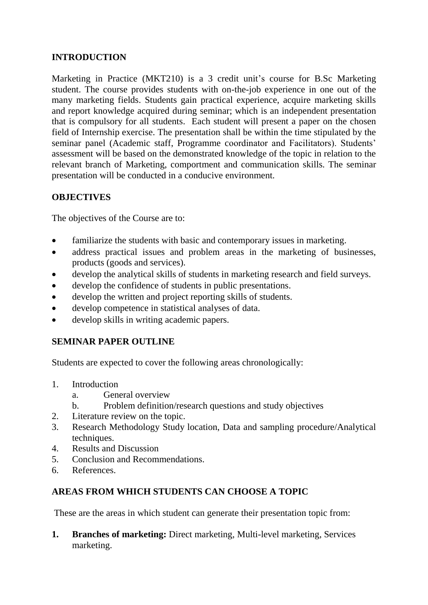## **INTRODUCTION**

Marketing in Practice (MKT210) is a 3 credit unit's course for B.Sc Marketing student. The course provides students with on-the-job experience in one out of the many marketing fields. Students gain practical experience, acquire marketing skills and report knowledge acquired during seminar; which is an independent presentation that is compulsory for all students. Each student will present a paper on the chosen field of Internship exercise. The presentation shall be within the time stipulated by the seminar panel (Academic staff, Programme coordinator and Facilitators). Students' assessment will be based on the demonstrated knowledge of the topic in relation to the relevant branch of Marketing, comportment and communication skills. The seminar presentation will be conducted in a conducive environment.

### **OBJECTIVES**

The objectives of the Course are to:

- familiarize the students with basic and contemporary issues in marketing.
- address practical issues and problem areas in the marketing of businesses, products (goods and services).
- develop the analytical skills of students in marketing research and field surveys.
- develop the confidence of students in public presentations.
- develop the written and project reporting skills of students.
- develop competence in statistical analyses of data.
- develop skills in writing academic papers.

#### **SEMINAR PAPER OUTLINE**

Students are expected to cover the following areas chronologically:

- 1. Introduction
	- a. General overview
	- b. Problem definition/research questions and study objectives
- 2. Literature review on the topic.
- 3. Research Methodology Study location, Data and sampling procedure/Analytical techniques.
- 4. Results and Discussion
- 5. Conclusion and Recommendations.
- 6. References.

#### **AREAS FROM WHICH STUDENTS CAN CHOOSE A TOPIC**

These are the areas in which student can generate their presentation topic from:

**1. Branches of marketing:** [Direct marketing, Multi-level marketing,](http://en.wikipedia.org/wiki/Direct_marketing) [Services](http://en.wikipedia.org/wiki/Services_marketing)  [marketing.](http://en.wikipedia.org/wiki/Services_marketing)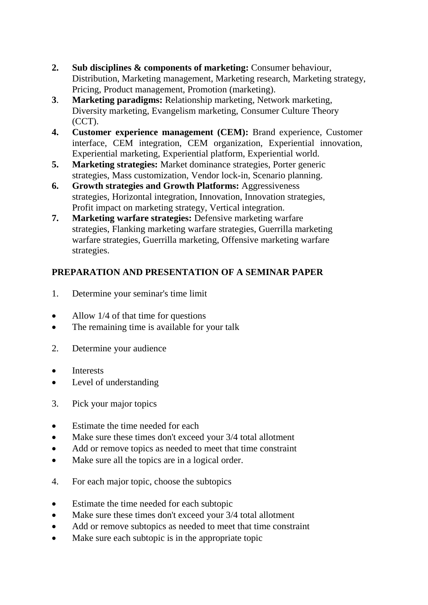- **2. Sub disciplines & components of marketing:** [Consumer behaviour,](http://en.wikipedia.org/wiki/Consumer_behavior)  [Distribution, Marketing](http://en.wikipedia.org/wiki/Distribution_%28business%29) [management, Marketing research,](http://en.wikipedia.org/wiki/Marketing_management) [Marketing strategy,](http://en.wikipedia.org/wiki/Marketing_strategy)  [Pricing, Product management,](http://en.wikipedia.org/wiki/Pricing) [Promotion](http://en.wikipedia.org/wiki/Promotion_%28marketing%29) [\(marketing\).](http://en.wikipedia.org/wiki/Promotion_%28marketing%29)
- **3**. **Marketing paradigms:** [Relationship marketing, Network marketing,](http://en.wikipedia.org/wiki/Relationship_marketing)  [Diversity marketing,](http://en.wikipedia.org/wiki/Diversity_marketing) [Evangelism marketing, Consumer Culture Theory](http://en.wikipedia.org/wiki/Evangelism_marketing)  [\(CCT\).](http://en.wikipedia.org/wiki/Consumer_Culture_Theory_%28CCT%29)
- **4. Customer experience management (CEM):** [Brand experience, Customer](http://en.wikipedia.org/w/index.php?title=Brand_experience&action=edit&redlink=1)  [interface, CEM](http://en.wikipedia.org/w/index.php?title=Customer_interface&action=edit&redlink=1) [integration, CEM organization,](http://en.wikipedia.org/wiki/CEM_integration) [Experiential innovation,](http://en.wikipedia.org/w/index.php?title=Experiential_innovation&action=edit&redlink=1)  [Experiential marketing, Experiential](http://en.wikipedia.org/wiki/Experiential_marketing) [platform, Experiential world.](http://en.wikipedia.org/w/index.php?title=Experiential_platform&action=edit&redlink=1)
- **5. Marketing strategies:** [Market dominance strategies, P](http://en.wikipedia.org/wiki/Market_dominance_strategies)orter [generic](http://en.wikipedia.org/wiki/Market_dominance_strategies)  [strategies, Mass](http://en.wikipedia.org/wiki/Porter_generic_strategies) [customization, Vendor lock-in,](http://en.wikipedia.org/wiki/Mass_customization) [Scenario planning.](http://en.wikipedia.org/wiki/Scenario_planning)
- **6. [Growth strategies a](http://en.wikipedia.org/w/index.php?title=Growth_strategies_%28business%29&action=edit&redlink=1)nd [Growth Platforms:](http://en.wikipedia.org/wiki/Growth_Platforms)** [Aggressiveness](http://en.wikipedia.org/wiki/Growth_Platforms)  [strategies, Horizontal](http://en.wikipedia.org/wiki/Aggressiveness_strategies_%28business%29) [integration, Innovation,](http://en.wikipedia.org/wiki/Horizontal_integration) [Innovation strategies,](http://en.wikipedia.org/w/index.php?title=Innovation_strategies_%28business%29&action=edit&redlink=1)  [Profit impact on marketing strategy,](http://en.wikipedia.org/wiki/Profit_impact_on_marketing_strategy) [Vertical integration.](http://en.wikipedia.org/wiki/Vertical_integration)
- **7. Marketing warfare strategies:** [Defensive marketing warfare](http://en.wikipedia.org/w/index.php?title=Defensive_marketing_warfare_strategies&action=edit&redlink=1)  [strategies,](http://en.wikipedia.org/w/index.php?title=Defensive_marketing_warfare_strategies&action=edit&redlink=1) [Flanking](http://en.wikipedia.org/w/index.php?title=Flanking_marketing_warfare_strategies&action=edit&redlink=1) [marketing warfare strategies, Guerrilla marketing](http://en.wikipedia.org/w/index.php?title=Flanking_marketing_warfare_strategies&action=edit&redlink=1)  [warfare strategies, Guerrilla marketing,](http://en.wikipedia.org/wiki/Guerrilla_marketing_warfare_strategies) [Offensive marketing warfare](http://en.wikipedia.org/w/index.php?title=Offensive_marketing_warfare_strategies&action=edit&redlink=1)  [strategies.](http://en.wikipedia.org/w/index.php?title=Offensive_marketing_warfare_strategies&action=edit&redlink=1)

## **PREPARATION AND PRESENTATION OF A SEMINAR PAPER**

- 1. Determine your seminar's time limit
- Allow 1/4 of that time for questions
- The remaining time is available for your talk
- 2. Determine your audience
- Interests
- Level of understanding
- 3. Pick your major topics
- Estimate the time needed for each
- Make sure these times don't exceed your 3/4 total allotment
- Add or remove topics as needed to meet that time constraint
- Make sure all the topics are in a logical order.
- 4. For each major topic, choose the subtopics
- Estimate the time needed for each subtopic
- Make sure these times don't exceed your 3/4 total allotment
- Add or remove subtopics as needed to meet that time constraint
- Make sure each subtopic is in the appropriate topic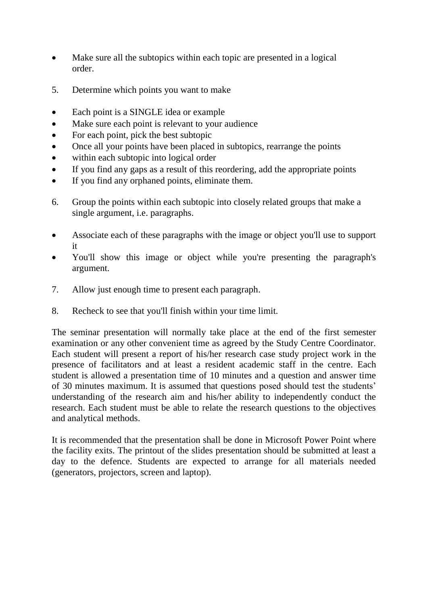- Make sure all the subtopics within each topic are presented in a logical order.
- 5. Determine which points you want to make
- Each point is a SINGLE idea or example
- Make sure each point is relevant to your audience
- For each point, pick the best subtopic
- Once all your points have been placed in subtopics, rearrange the points
- within each subtopic into logical order
- If you find any gaps as a result of this reordering, add the appropriate points
- If you find any orphaned points, eliminate them.
- 6. Group the points within each subtopic into closely related groups that make a single argument, i.e. paragraphs.
- Associate each of these paragraphs with the image or object you'll use to support it
- You'll show this image or object while you're presenting the paragraph's argument.
- 7. Allow just enough time to present each paragraph.
- 8. Recheck to see that you'll finish within your time limit.

The seminar presentation will normally take place at the end of the first semester examination or any other convenient time as agreed by the Study Centre Coordinator. Each student will present a report of his/her research case study project work in the presence of facilitators and at least a resident academic staff in the centre. Each student is allowed a presentation time of 10 minutes and a question and answer time of 30 minutes maximum. It is assumed that questions posed should test the students' understanding of the research aim and his/her ability to independently conduct the research. Each student must be able to relate the research questions to the objectives and analytical methods.

It is recommended that the presentation shall be done in Microsoft Power Point where the facility exits. The printout of the slides presentation should be submitted at least a day to the defence. Students are expected to arrange for all materials needed (generators, projectors, screen and laptop).